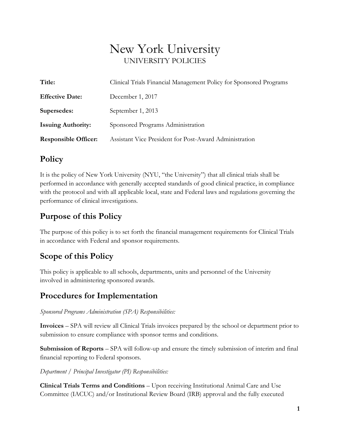# New York University UNIVERSITY POLICIES

| Title:                      | Clinical Trials Financial Management Policy for Sponsored Programs |  |
|-----------------------------|--------------------------------------------------------------------|--|
| <b>Effective Date:</b>      | December 1, 2017                                                   |  |
| Supersedes:                 | September 1, 2013                                                  |  |
| <b>Issuing Authority:</b>   | Sponsored Programs Administration                                  |  |
| <b>Responsible Officer:</b> | Assistant Vice President for Post-Award Administration             |  |

### **Policy**

It is the policy of New York University (NYU, "the University") that all clinical trials shall be performed in accordance with generally accepted standards of good clinical practice, in compliance with the protocol and with all applicable local, state and Federal laws and regulations governing the performance of clinical investigations.

## **Purpose of this Policy**

The purpose of this policy is to set forth the financial management requirements for Clinical Trials in accordance with Federal and sponsor requirements.

# **Scope of this Policy**

This policy is applicable to all schools, departments, units and personnel of the University involved in administering sponsored awards.

# **Procedures for Implementation**

#### *Sponsored Programs Administration (SPA) Responsibilities:*

**Invoices** – SPA will review all Clinical Trials invoices prepared by the school or department prior to submission to ensure compliance with sponsor terms and conditions.

**Submission of Reports** – SPA will follow-up and ensure the timely submission of interim and final financial reporting to Federal sponsors.

#### *Department / Principal Investigator (PI) Responsibilities:*

**Clinical Trials Terms and Conditions** – Upon receiving Institutional Animal Care and Use Committee (IACUC) and/or Institutional Review Board (IRB) approval and the fully executed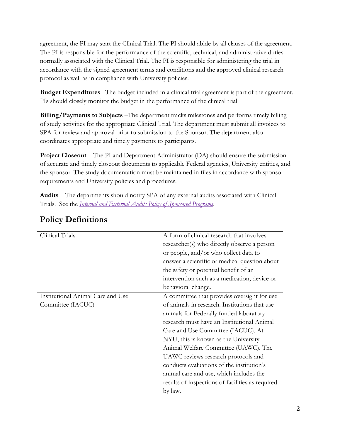agreement, the PI may start the Clinical Trial. The PI should abide by all clauses of the agreement. The PI is responsible for the performance of the scientific, technical, and administrative duties normally associated with the Clinical Trial. The PI is responsible for administering the trial in accordance with the signed agreement terms and conditions and the approved clinical research protocol as well as in compliance with University policies.

**Budget Expenditures** –The budget included in a clinical trial agreement is part of the agreement. PIs should closely monitor the budget in the performance of the clinical trial.

**Billing/Payments to Subjects** –The department tracks milestones and performs timely billing of study activities for the appropriate Clinical Trial. The department must submit all invoices to SPA for review and approval prior to submission to the Sponsor. The department also coordinates appropriate and timely payments to participants.

**Project Closeout** – The PI and Department Administrator (DA) should ensure the submission of accurate and timely closeout documents to applicable Federal agencies, University entities, and the sponsor. The study documentation must be maintained in files in accordance with sponsor requirements and University policies and procedures.

**Audits** – The departments should notify SPA of any external audits associated with Clinical Trials. See the *[Internal and External Audits Policy of Sponsored Programs](http://www.nyu.edu/about/policies-guidelines-compliance/policies-and-guidelines/internal-and-external-audit-policy-for-sponsored-programs.html)*.

| Clinical Trials                   | A form of clinical research that involves        |
|-----------------------------------|--------------------------------------------------|
|                                   | researcher(s) who directly observe a person      |
|                                   | or people, and/or who collect data to            |
|                                   | answer a scientific or medical question about    |
|                                   | the safety or potential benefit of an            |
|                                   | intervention such as a medication, device or     |
|                                   | behavioral change.                               |
| Institutional Animal Care and Use | A committee that provides oversight for use      |
| Committee (IACUC)                 | of animals in research. Institutions that use    |
|                                   | animals for Federally funded laboratory          |
|                                   | research must have an Institutional Animal       |
|                                   | Care and Use Committee (IACUC). At               |
|                                   | NYU, this is known as the University             |
|                                   | Animal Welfare Committee (UAWC). The             |
|                                   | UAWC reviews research protocols and              |
|                                   | conducts evaluations of the institution's        |
|                                   | animal care and use, which includes the          |
|                                   | results of inspections of facilities as required |
|                                   | by law.                                          |

### **Policy Definitions**